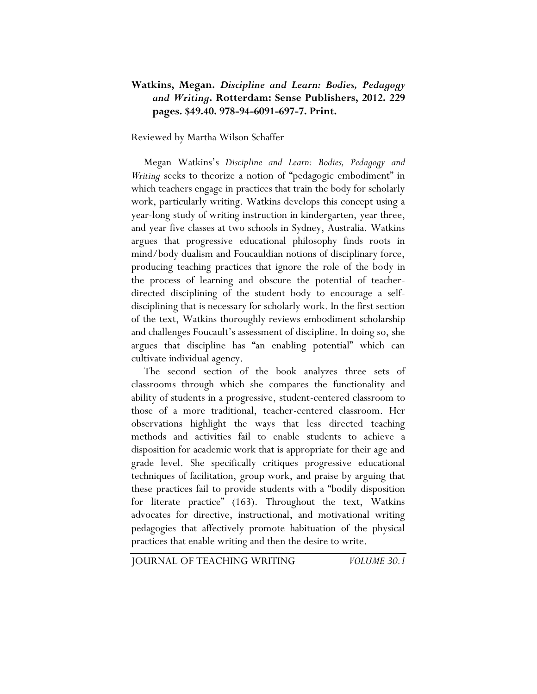## **Watkins, Megan.** *Discipline and Learn: Bodies, Pedagogy and Writing***. Rotterdam: Sense Publishers, 2012. 229 pages. \$49.40. 978-94-6091-697-7. Print.**

Reviewed by Martha Wilson Schaffer

Megan Watkins's *Discipline and Learn: Bodies, Pedagogy and Writing* seeks to theorize a notion of "pedagogic embodiment" in which teachers engage in practices that train the body for scholarly work, particularly writing. Watkins develops this concept using a year-long study of writing instruction in kindergarten, year three, and year five classes at two schools in Sydney, Australia. Watkins argues that progressive educational philosophy finds roots in mind/body dualism and Foucauldian notions of disciplinary force, producing teaching practices that ignore the role of the body in the process of learning and obscure the potential of teacherdirected disciplining of the student body to encourage a selfdisciplining that is necessary for scholarly work. In the first section of the text, Watkins thoroughly reviews embodiment scholarship and challenges Foucault's assessment of discipline. In doing so, she argues that discipline has "an enabling potential" which can cultivate individual agency.

The second section of the book analyzes three sets of classrooms through which she compares the functionality and ability of students in a progressive, student-centered classroom to those of a more traditional, teacher-centered classroom. Her observations highlight the ways that less directed teaching methods and activities fail to enable students to achieve a disposition for academic work that is appropriate for their age and grade level. She specifically critiques progressive educational techniques of facilitation, group work, and praise by arguing that these practices fail to provide students with a "bodily disposition for literate practice" (163). Throughout the text, Watkins advocates for directive, instructional, and motivational writing pedagogies that affectively promote habituation of the physical practices that enable writing and then the desire to write.

JOURNAL OF TEACHING WRITING *VOLUME 30.1*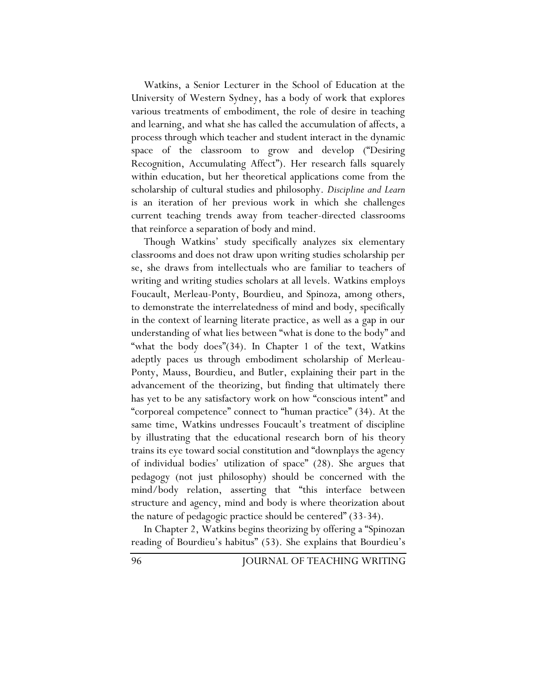Watkins, a Senior Lecturer in the School of Education at the University of Western Sydney, has a body of work that explores various treatments of embodiment, the role of desire in teaching and learning, and what she has called the accumulation of affects, a process through which teacher and student interact in the dynamic space of the classroom to grow and develop ("Desiring Recognition, Accumulating Affect"). Her research falls squarely within education, but her theoretical applications come from the scholarship of cultural studies and philosophy. *Discipline and Learn* is an iteration of her previous work in which she challenges current teaching trends away from teacher-directed classrooms that reinforce a separation of body and mind.

Though Watkins' study specifically analyzes six elementary classrooms and does not draw upon writing studies scholarship per se, she draws from intellectuals who are familiar to teachers of writing and writing studies scholars at all levels. Watkins employs Foucault, Merleau-Ponty, Bourdieu, and Spinoza, among others, to demonstrate the interrelatedness of mind and body, specifically in the context of learning literate practice, as well as a gap in our understanding of what lies between "what is done to the body" and "what the body does"(34). In Chapter 1 of the text, Watkins adeptly paces us through embodiment scholarship of Merleau-Ponty, Mauss, Bourdieu, and Butler, explaining their part in the advancement of the theorizing, but finding that ultimately there has yet to be any satisfactory work on how "conscious intent" and "corporeal competence" connect to "human practice" (34). At the same time, Watkins undresses Foucault's treatment of discipline by illustrating that the educational research born of his theory trains its eye toward social constitution and "downplays the agency of individual bodies' utilization of space" (28). She argues that pedagogy (not just philosophy) should be concerned with the mind/body relation, asserting that "this interface between structure and agency, mind and body is where theorization about the nature of pedagogic practice should be centered" (33-34).

In Chapter 2, Watkins begins theorizing by offering a "Spinozan reading of Bourdieu's habitus" (53). She explains that Bourdieu's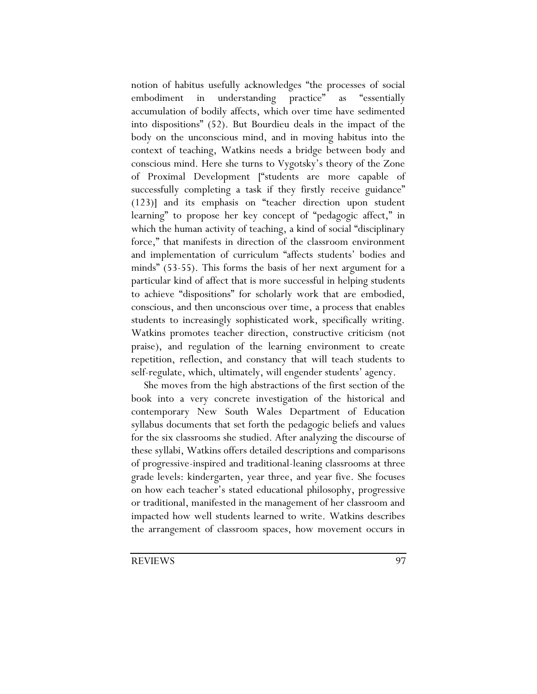notion of habitus usefully acknowledges "the processes of social embodiment in understanding practice" as "essentially accumulation of bodily affects, which over time have sedimented into dispositions" (52). But Bourdieu deals in the impact of the body on the unconscious mind, and in moving habitus into the context of teaching, Watkins needs a bridge between body and conscious mind. Here she turns to Vygotsky's theory of the Zone of Proximal Development ["students are more capable of successfully completing a task if they firstly receive guidance" (123)] and its emphasis on "teacher direction upon student learning" to propose her key concept of "pedagogic affect," in which the human activity of teaching, a kind of social "disciplinary force," that manifests in direction of the classroom environment and implementation of curriculum "affects students' bodies and minds" (53-55). This forms the basis of her next argument for a particular kind of affect that is more successful in helping students to achieve "dispositions" for scholarly work that are embodied, conscious, and then unconscious over time, a process that enables students to increasingly sophisticated work, specifically writing. Watkins promotes teacher direction, constructive criticism (not praise), and regulation of the learning environment to create repetition, reflection, and constancy that will teach students to self-regulate, which, ultimately, will engender students' agency.

She moves from the high abstractions of the first section of the book into a very concrete investigation of the historical and contemporary New South Wales Department of Education syllabus documents that set forth the pedagogic beliefs and values for the six classrooms she studied. After analyzing the discourse of these syllabi, Watkins offers detailed descriptions and comparisons of progressive-inspired and traditional-leaning classrooms at three grade levels: kindergarten, year three, and year five. She focuses on how each teacher's stated educational philosophy, progressive or traditional, manifested in the management of her classroom and impacted how well students learned to write. Watkins describes the arrangement of classroom spaces, how movement occurs in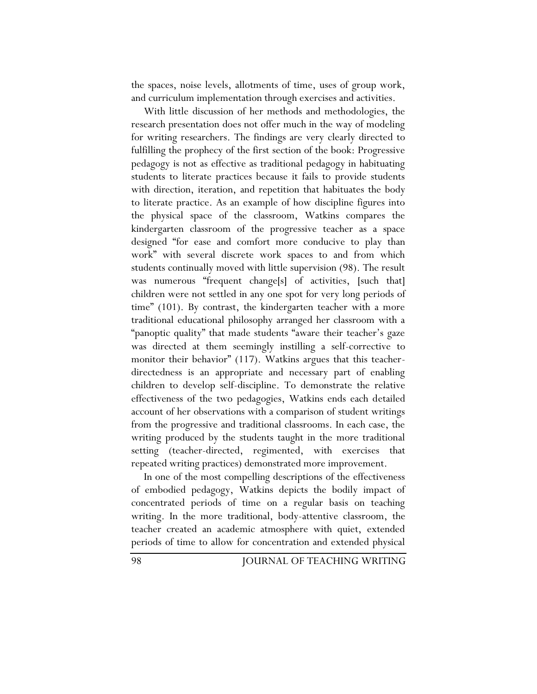the spaces, noise levels, allotments of time, uses of group work, and curriculum implementation through exercises and activities.

With little discussion of her methods and methodologies, the research presentation does not offer much in the way of modeling for writing researchers. The findings are very clearly directed to fulfilling the prophecy of the first section of the book: Progressive pedagogy is not as effective as traditional pedagogy in habituating students to literate practices because it fails to provide students with direction, iteration, and repetition that habituates the body to literate practice. As an example of how discipline figures into the physical space of the classroom, Watkins compares the kindergarten classroom of the progressive teacher as a space designed "for ease and comfort more conducive to play than work" with several discrete work spaces to and from which students continually moved with little supervision (98). The result was numerous "frequent change[s] of activities, [such that] children were not settled in any one spot for very long periods of time" (101). By contrast, the kindergarten teacher with a more traditional educational philosophy arranged her classroom with a "panoptic quality" that made students "aware their teacher's gaze was directed at them seemingly instilling a self-corrective to monitor their behavior" (117). Watkins argues that this teacherdirectedness is an appropriate and necessary part of enabling children to develop self-discipline. To demonstrate the relative effectiveness of the two pedagogies, Watkins ends each detailed account of her observations with a comparison of student writings from the progressive and traditional classrooms. In each case, the writing produced by the students taught in the more traditional setting (teacher-directed, regimented, with exercises that repeated writing practices) demonstrated more improvement.

In one of the most compelling descriptions of the effectiveness of embodied pedagogy, Watkins depicts the bodily impact of concentrated periods of time on a regular basis on teaching writing. In the more traditional, body-attentive classroom, the teacher created an academic atmosphere with quiet, extended periods of time to allow for concentration and extended physical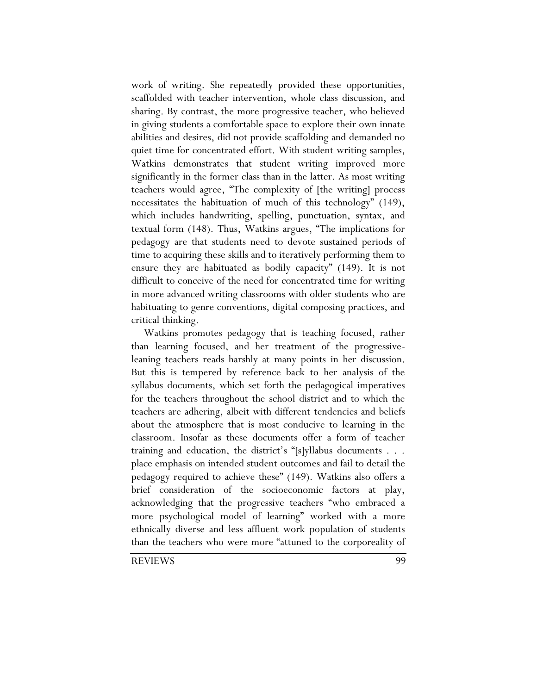work of writing. She repeatedly provided these opportunities, scaffolded with teacher intervention, whole class discussion, and sharing. By contrast, the more progressive teacher, who believed in giving students a comfortable space to explore their own innate abilities and desires, did not provide scaffolding and demanded no quiet time for concentrated effort. With student writing samples, Watkins demonstrates that student writing improved more significantly in the former class than in the latter. As most writing teachers would agree, "The complexity of [the writing] process necessitates the habituation of much of this technology" (149), which includes handwriting, spelling, punctuation, syntax, and textual form (148). Thus, Watkins argues, "The implications for pedagogy are that students need to devote sustained periods of time to acquiring these skills and to iteratively performing them to ensure they are habituated as bodily capacity" (149). It is not difficult to conceive of the need for concentrated time for writing in more advanced writing classrooms with older students who are habituating to genre conventions, digital composing practices, and critical thinking.

Watkins promotes pedagogy that is teaching focused, rather than learning focused, and her treatment of the progressiveleaning teachers reads harshly at many points in her discussion. But this is tempered by reference back to her analysis of the syllabus documents, which set forth the pedagogical imperatives for the teachers throughout the school district and to which the teachers are adhering, albeit with different tendencies and beliefs about the atmosphere that is most conducive to learning in the classroom. Insofar as these documents offer a form of teacher training and education, the district's "[s]yllabus documents . . . place emphasis on intended student outcomes and fail to detail the pedagogy required to achieve these" (149). Watkins also offers a brief consideration of the socioeconomic factors at play, acknowledging that the progressive teachers "who embraced a more psychological model of learning" worked with a more ethnically diverse and less affluent work population of students than the teachers who were more "attuned to the corporeality of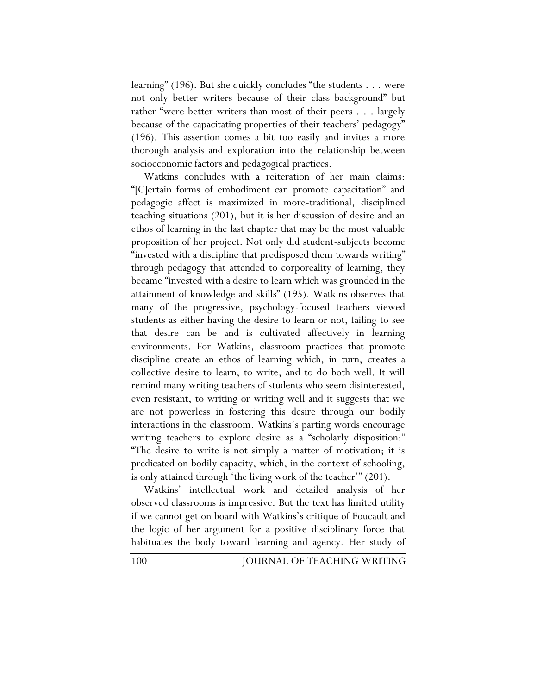learning" (196). But she quickly concludes "the students . . . were not only better writers because of their class background" but rather "were better writers than most of their peers . . . largely because of the capacitating properties of their teachers' pedagogy" (196). This assertion comes a bit too easily and invites a more thorough analysis and exploration into the relationship between socioeconomic factors and pedagogical practices.

Watkins concludes with a reiteration of her main claims: "[C]ertain forms of embodiment can promote capacitation" and pedagogic affect is maximized in more-traditional, disciplined teaching situations (201), but it is her discussion of desire and an ethos of learning in the last chapter that may be the most valuable proposition of her project. Not only did student-subjects become "invested with a discipline that predisposed them towards writing" through pedagogy that attended to corporeality of learning, they became "invested with a desire to learn which was grounded in the attainment of knowledge and skills" (195). Watkins observes that many of the progressive, psychology-focused teachers viewed students as either having the desire to learn or not, failing to see that desire can be and is cultivated affectively in learning environments. For Watkins, classroom practices that promote discipline create an ethos of learning which, in turn, creates a collective desire to learn, to write, and to do both well. It will remind many writing teachers of students who seem disinterested, even resistant, to writing or writing well and it suggests that we are not powerless in fostering this desire through our bodily interactions in the classroom. Watkins's parting words encourage writing teachers to explore desire as a "scholarly disposition:" "The desire to write is not simply a matter of motivation; it is predicated on bodily capacity, which, in the context of schooling, is only attained through 'the living work of the teacher'" (201).

Watkins' intellectual work and detailed analysis of her observed classrooms is impressive. But the text has limited utility if we cannot get on board with Watkins's critique of Foucault and the logic of her argument for a positive disciplinary force that habituates the body toward learning and agency. Her study of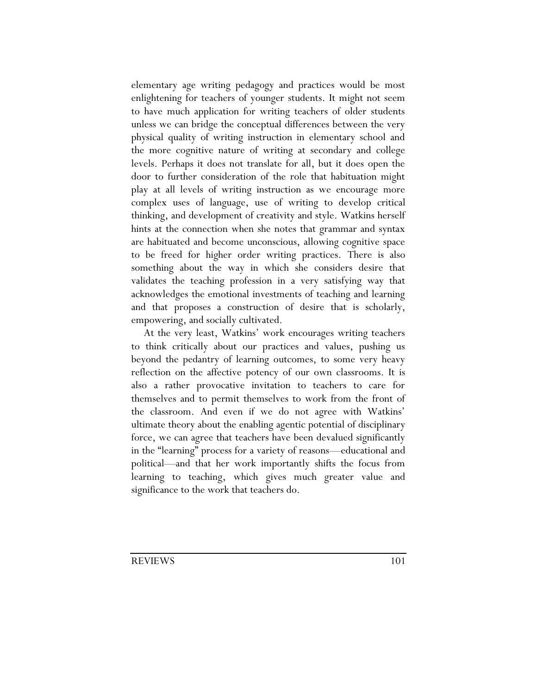elementary age writing pedagogy and practices would be most enlightening for teachers of younger students. It might not seem to have much application for writing teachers of older students unless we can bridge the conceptual differences between the very physical quality of writing instruction in elementary school and the more cognitive nature of writing at secondary and college levels. Perhaps it does not translate for all, but it does open the door to further consideration of the role that habituation might play at all levels of writing instruction as we encourage more complex uses of language, use of writing to develop critical thinking, and development of creativity and style. Watkins herself hints at the connection when she notes that grammar and syntax are habituated and become unconscious, allowing cognitive space to be freed for higher order writing practices. There is also something about the way in which she considers desire that validates the teaching profession in a very satisfying way that acknowledges the emotional investments of teaching and learning and that proposes a construction of desire that is scholarly, empowering, and socially cultivated.

At the very least, Watkins' work encourages writing teachers to think critically about our practices and values, pushing us beyond the pedantry of learning outcomes, to some very heavy reflection on the affective potency of our own classrooms. It is also a rather provocative invitation to teachers to care for themselves and to permit themselves to work from the front of the classroom. And even if we do not agree with Watkins' ultimate theory about the enabling agentic potential of disciplinary force, we can agree that teachers have been devalued significantly in the "learning" process for a variety of reasons—educational and political—and that her work importantly shifts the focus from learning to teaching, which gives much greater value and significance to the work that teachers do.